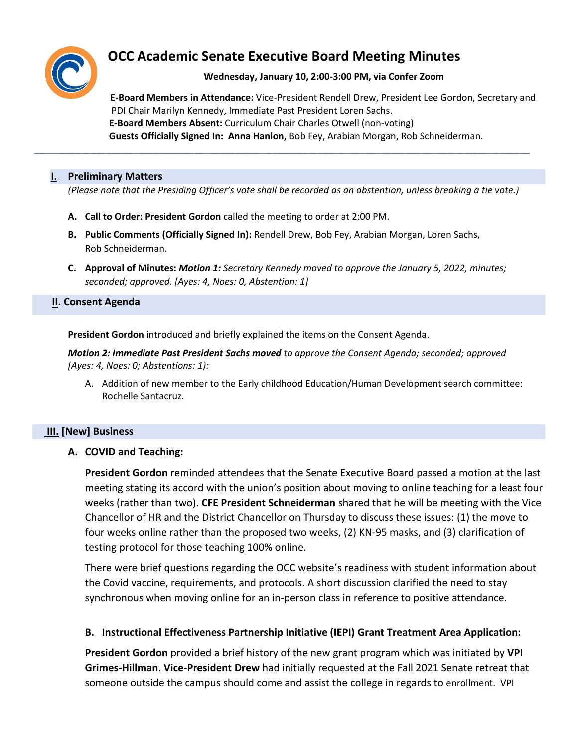

# **OCC Academic Senate Executive Board Meeting Minutes**

## **Wednesday, January 10, 2:00-3:00 PM, via Confer Zoom**

 **E-Board Members in Attendance:** Vice-President Rendell Drew, President Lee Gordon, Secretary and PDI Chair Marilyn Kennedy, Immediate Past President Loren Sachs.  **E-Board Members Absent:** Curriculum Chair Charles Otwell (non-voting) **Guests Officially Signed In: Anna Hanlon,** Bob Fey, Arabian Morgan, Rob Schneiderman.

#### **I. Preliminary Matters**

*(Please note that the Presiding Officer's vote shall be recorded as an abstention, unless breaking a tie vote.)*

\_\_\_\_\_\_\_\_\_\_\_\_\_\_\_\_\_\_\_\_\_\_\_\_\_\_\_\_\_\_\_\_\_\_\_\_\_\_\_\_\_\_\_\_\_\_\_\_\_\_\_\_\_\_\_\_\_\_\_\_\_\_\_\_\_\_\_\_\_\_\_\_\_\_\_\_\_\_\_\_\_\_\_\_\_\_\_\_\_\_\_\_\_\_\_\_

- **A. Call to Order: President Gordon** called the meeting to order at 2:00 PM.
- **B. Public Comments (Officially Signed In):** Rendell Drew, Bob Fey, Arabian Morgan, Loren Sachs, Rob Schneiderman.
- **C. Approval of Minutes:** *Motion 1: Secretary Kennedy moved to approve the January 5, 2022, minutes; seconded; approved. [Ayes: 4, Noes: 0, Abstention: 1]*

#### **II. Consent Agenda**

**President Gordon** introduced and briefly explained the items on the Consent Agenda.

*Motion 2: Immediate Past President Sachs moved to approve the Consent Agenda; seconded; approved [Ayes: 4, Noes: 0; Abstentions: 1):*

A. Addition of new member to the Early childhood Education/Human Development search committee: Rochelle Santacruz.

## **III. [New] Business**

**A. COVID and Teaching:** 

**President Gordon** reminded attendees that the Senate Executive Board passed a motion at the last meeting stating its accord with the union's position about moving to online teaching for a least four weeks (rather than two). **CFE President Schneiderman** shared that he will be meeting with the Vice Chancellor of HR and the District Chancellor on Thursday to discuss these issues: (1) the move to four weeks online rather than the proposed two weeks, (2) KN-95 masks, and (3) clarification of testing protocol for those teaching 100% online.

There were brief questions regarding the OCC website's readiness with student information about the Covid vaccine, requirements, and protocols. A short discussion clarified the need to stay synchronous when moving online for an in-person class in reference to positive attendance.

## **B. Instructional Effectiveness Partnership Initiative (IEPI) Grant Treatment Area Application:**

**President Gordon** provided a brief history of the new grant program which was initiated by **VPI Grimes-Hillman**. **Vice-President Drew** had initially requested at the Fall 2021 Senate retreat that someone outside the campus should come and assist the college in regards to enrollment. VPI